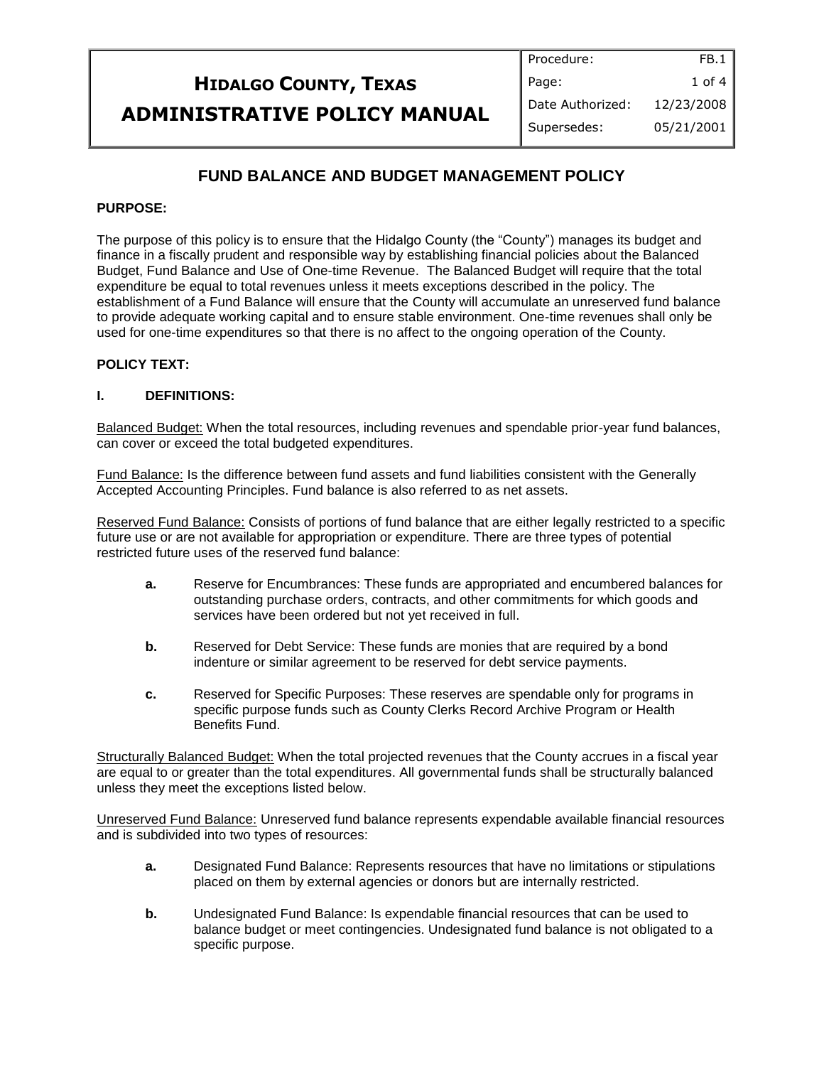#### **HIDALGO COUNTY, TEXAS ADMINISTRATIVE POLICY MANUAL** Procedure: Page: Date Authorized: Supersedes: FB.1 1 of 4 12/23/2008 05/21/2001

# **FUND BALANCE AND BUDGET MANAGEMENT POLICY**

### **PURPOSE:**

The purpose of this policy is to ensure that the Hidalgo County (the "County") manages its budget and finance in a fiscally prudent and responsible way by establishing financial policies about the Balanced Budget, Fund Balance and Use of One-time Revenue. The Balanced Budget will require that the total expenditure be equal to total revenues unless it meets exceptions described in the policy. The establishment of a Fund Balance will ensure that the County will accumulate an unreserved fund balance to provide adequate working capital and to ensure stable environment. One-time revenues shall only be used for one-time expenditures so that there is no affect to the ongoing operation of the County.

### **POLICY TEXT:**

#### **I. DEFINITIONS:**

Balanced Budget: When the total resources, including revenues and spendable prior-year fund balances, can cover or exceed the total budgeted expenditures.

Fund Balance: Is the difference between fund assets and fund liabilities consistent with the Generally Accepted Accounting Principles. Fund balance is also referred to as net assets.

Reserved Fund Balance: Consists of portions of fund balance that are either legally restricted to a specific future use or are not available for appropriation or expenditure. There are three types of potential restricted future uses of the reserved fund balance:

- **a.** Reserve for Encumbrances: These funds are appropriated and encumbered balances for outstanding purchase orders, contracts, and other commitments for which goods and services have been ordered but not yet received in full.
- **b.** Reserved for Debt Service: These funds are monies that are required by a bond indenture or similar agreement to be reserved for debt service payments.
- **c.** Reserved for Specific Purposes: These reserves are spendable only for programs in specific purpose funds such as County Clerks Record Archive Program or Health Benefits Fund.

Structurally Balanced Budget: When the total projected revenues that the County accrues in a fiscal year are equal to or greater than the total expenditures. All governmental funds shall be structurally balanced unless they meet the exceptions listed below.

Unreserved Fund Balance: Unreserved fund balance represents expendable available financial resources and is subdivided into two types of resources:

- **a.** Designated Fund Balance: Represents resources that have no limitations or stipulations placed on them by external agencies or donors but are internally restricted.
- **b.** Undesignated Fund Balance: Is expendable financial resources that can be used to balance budget or meet contingencies. Undesignated fund balance is not obligated to a specific purpose.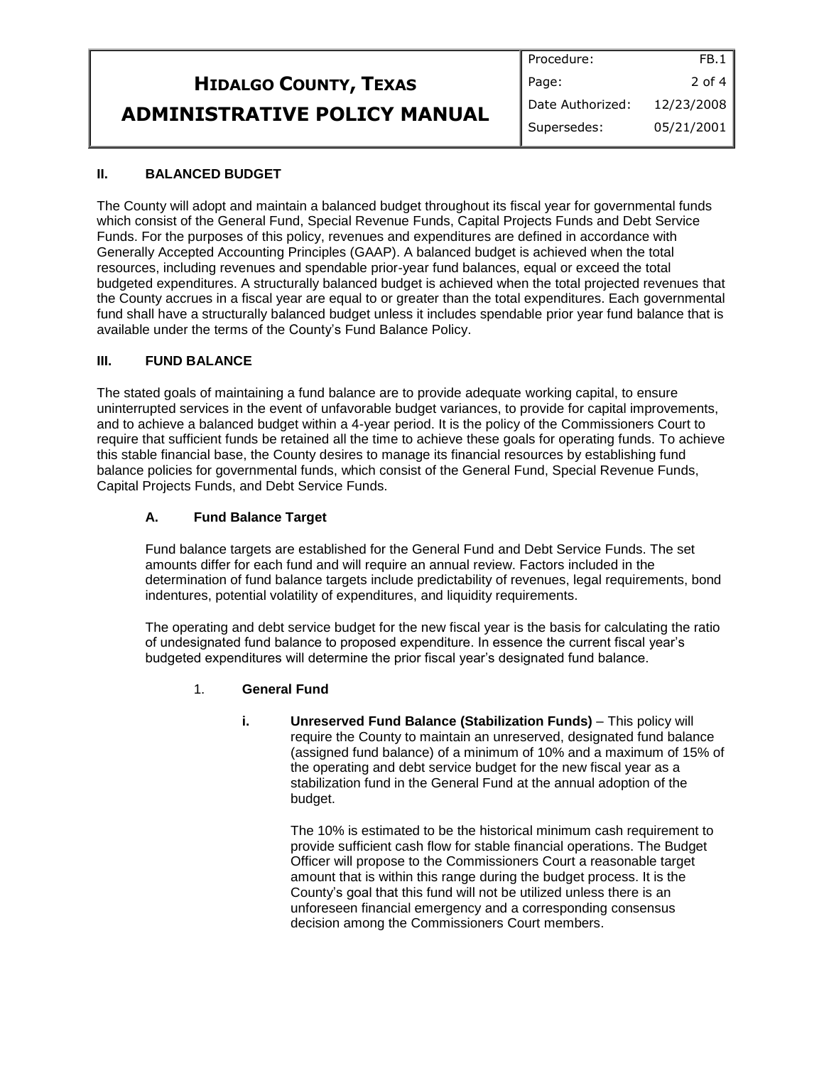|                              | Procedure:         | FB.1       |
|------------------------------|--------------------|------------|
| <b>HIDALGO COUNTY, TEXAS</b> | Page:              | 2 of 4     |
| ADMINISTRATIVE POLICY MANUAL | I Date Authorized: | 12/23/2008 |
|                              | Supersedes:        | 05/21/2001 |

# **II. BALANCED BUDGET**

The County will adopt and maintain a balanced budget throughout its fiscal year for governmental funds which consist of the General Fund, Special Revenue Funds, Capital Projects Funds and Debt Service Funds. For the purposes of this policy, revenues and expenditures are defined in accordance with Generally Accepted Accounting Principles (GAAP). A balanced budget is achieved when the total resources, including revenues and spendable prior-year fund balances, equal or exceed the total budgeted expenditures. A structurally balanced budget is achieved when the total projected revenues that the County accrues in a fiscal year are equal to or greater than the total expenditures. Each governmental fund shall have a structurally balanced budget unless it includes spendable prior year fund balance that is available under the terms of the County's Fund Balance Policy.

#### **III. FUND BALANCE**

The stated goals of maintaining a fund balance are to provide adequate working capital, to ensure uninterrupted services in the event of unfavorable budget variances, to provide for capital improvements, and to achieve a balanced budget within a 4-year period. It is the policy of the Commissioners Court to require that sufficient funds be retained all the time to achieve these goals for operating funds. To achieve this stable financial base, the County desires to manage its financial resources by establishing fund balance policies for governmental funds, which consist of the General Fund, Special Revenue Funds, Capital Projects Funds, and Debt Service Funds.

### **A. Fund Balance Target**

Fund balance targets are established for the General Fund and Debt Service Funds. The set amounts differ for each fund and will require an annual review. Factors included in the determination of fund balance targets include predictability of revenues, legal requirements, bond indentures, potential volatility of expenditures, and liquidity requirements.

The operating and debt service budget for the new fiscal year is the basis for calculating the ratio of undesignated fund balance to proposed expenditure. In essence the current fiscal year's budgeted expenditures will determine the prior fiscal year's designated fund balance.

### 1. **General Fund**

**i. Unreserved Fund Balance (Stabilization Funds)** – This policy will require the County to maintain an unreserved, designated fund balance (assigned fund balance) of a minimum of 10% and a maximum of 15% of the operating and debt service budget for the new fiscal year as a stabilization fund in the General Fund at the annual adoption of the budget.

> The 10% is estimated to be the historical minimum cash requirement to provide sufficient cash flow for stable financial operations. The Budget Officer will propose to the Commissioners Court a reasonable target amount that is within this range during the budget process. It is the County's goal that this fund will not be utilized unless there is an unforeseen financial emergency and a corresponding consensus decision among the Commissioners Court members.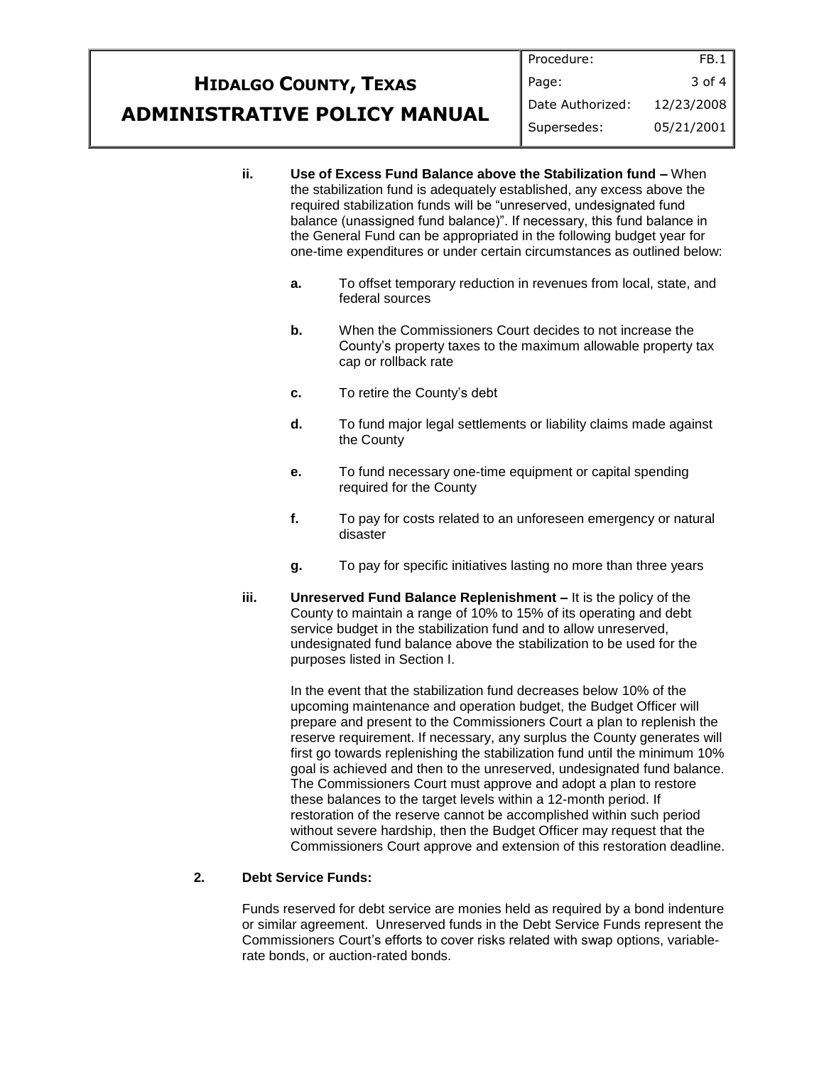#### **HIDALGO COUNTY, TEXAS ADMINISTRATIVE POLICY MANUAL** Procedure: Page: Date Authorized: Supersedes: FB.1 3 of 4 12/23/2008 05/21/2001

- **ii. Use of Excess Fund Balance above the Stabilization fund –** When the stabilization fund is adequately established, any excess above the required stabilization funds will be "unreserved, undesignated fund balance (unassigned fund balance)". If necessary, this fund balance in the General Fund can be appropriated in the following budget year for one-time expenditures or under certain circumstances as outlined below:
	- **a.** To offset temporary reduction in revenues from local, state, and federal sources
	- **b.** When the Commissioners Court decides to not increase the County's property taxes to the maximum allowable property tax cap or rollback rate
	- **c.** To retire the County's debt
	- **d.** To fund major legal settlements or liability claims made against the County
	- **e.** To fund necessary one-time equipment or capital spending required for the County
	- **f.** To pay for costs related to an unforeseen emergency or natural disaster
	- **g.** To pay for specific initiatives lasting no more than three years
- **iii. Unreserved Fund Balance Replenishment –** It is the policy of the County to maintain a range of 10% to 15% of its operating and debt service budget in the stabilization fund and to allow unreserved, undesignated fund balance above the stabilization to be used for the purposes listed in Section I.

In the event that the stabilization fund decreases below 10% of the upcoming maintenance and operation budget, the Budget Officer will prepare and present to the Commissioners Court a plan to replenish the reserve requirement. If necessary, any surplus the County generates will first go towards replenishing the stabilization fund until the minimum 10% goal is achieved and then to the unreserved, undesignated fund balance. The Commissioners Court must approve and adopt a plan to restore these balances to the target levels within a 12-month period. If restoration of the reserve cannot be accomplished within such period without severe hardship, then the Budget Officer may request that the Commissioners Court approve and extension of this restoration deadline.

### **2. Debt Service Funds:**

Funds reserved for debt service are monies held as required by a bond indenture or similar agreement. Unreserved funds in the Debt Service Funds represent the Commissioners Court's efforts to cover risks related with swap options, variablerate bonds, or auction-rated bonds.